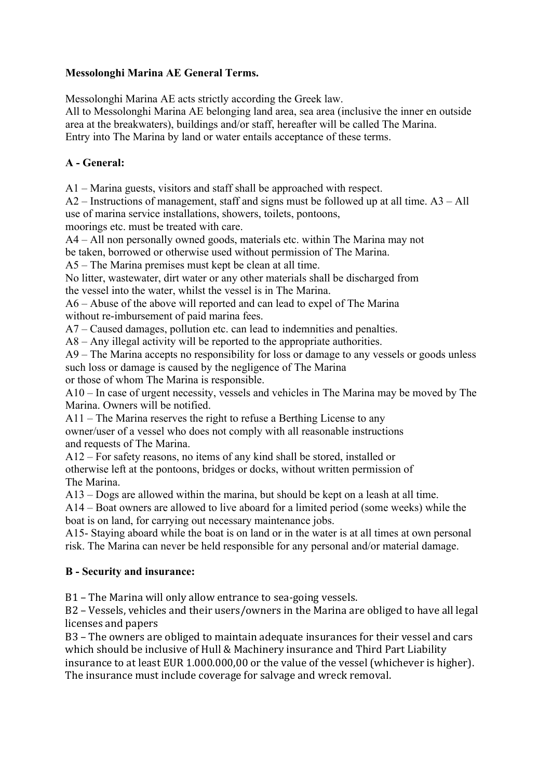#### **Messolonghi Marina AE General Terms.**

Messolonghi Marina AE acts strictly according the Greek law.

All to Messolonghi Marina AE belonging land area, sea area (inclusive the inner en outside area at the breakwaters), buildings and/or staff, hereafter will be called The Marina. Entry into The Marina by land or water entails acceptance of these terms.

#### **A - General:**

A1 – Marina guests, visitors and staff shall be approached with respect.

A2 – Instructions of management, staff and signs must be followed up at all time. A3 – All use of marina service installations, showers, toilets, pontoons,

moorings etc. must be treated with care.

A4 – All non personally owned goods, materials etc. within The Marina may not be taken, borrowed or otherwise used without permission of The Marina.

A5 – The Marina premises must kept be clean at all time.

No litter, wastewater, dirt water or any other materials shall be discharged from the vessel into the water, whilst the vessel is in The Marina.

A6 – Abuse of the above will reported and can lead to expel of The Marina without re-imbursement of paid marina fees.

A7 – Caused damages, pollution etc. can lead to indemnities and penalties.

A8 – Any illegal activity will be reported to the appropriate authorities.

A9 – The Marina accepts no responsibility for loss or damage to any vessels or goods unless such loss or damage is caused by the negligence of The Marina or those of whom The Marina is responsible.

A10 – In case of urgent necessity, vessels and vehicles in The Marina may be moved by The Marina. Owners will be notified.

A11 – The Marina reserves the right to refuse a Berthing License to any

owner/user of a vessel who does not comply with all reasonable instructions and requests of The Marina.

A12 – For safety reasons, no items of any kind shall be stored, installed or

otherwise left at the pontoons, bridges or docks, without written permission of The Marina.

A13 – Dogs are allowed within the marina, but should be kept on a leash at all time.

A14 – Boat owners are allowed to live aboard for a limited period (some weeks) while the boat is on land, for carrying out necessary maintenance jobs.

A15- Staying aboard while the boat is on land or in the water is at all times at own personal risk. The Marina can never be held responsible for any personal and/or material damage.

### **B - Security and insurance:**

B1 – The Marina will only allow entrance to sea-going vessels.

B2 – Vessels, vehicles and their users/owners in the Marina are obliged to have all legal licenses and papers

B3 - The owners are obliged to maintain adequate insurances for their vessel and cars which should be inclusive of Hull & Machinery insurance and Third Part Liability insurance to at least EUR 1.000.000,00 or the value of the vessel (whichever is higher). The insurance must include coverage for salvage and wreck removal.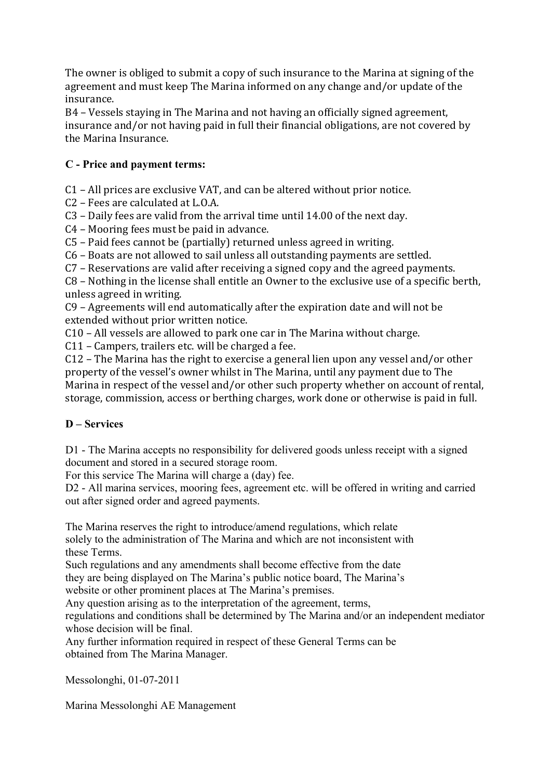The owner is obliged to submit a copy of such insurance to the Marina at signing of the agreement and must keep The Marina informed on any change and/or update of the insurance.

B4 – Vessels staying in The Marina and not having an officially signed agreement, insurance and/or not having paid in full their financial obligations, are not covered by the Marina Insurance.

## **C - Price and payment terms:**

 $C1$  – All prices are exclusive VAT, and can be altered without prior notice.

C<sub>2</sub> – Fees are calculated at L<sub>.O.A.</sub>

C3 - Daily fees are valid from the arrival time until 14.00 of the next day.

 $C4$  – Mooring fees must be paid in advance.

 $C5$  – Paid fees cannot be (partially) returned unless agreed in writing.

C6 – Boats are not allowed to sail unless all outstanding payments are settled.

 $C7$  – Reservations are valid after receiving a signed copy and the agreed payments.

 $C8$  – Nothing in the license shall entitle an Owner to the exclusive use of a specific berth, unless agreed in writing.

C9 - Agreements will end automatically after the expiration date and will not be extended without prior written notice.

C10 - All vessels are allowed to park one car in The Marina without charge.

 $C11$  – Campers, trailers etc. will be charged a fee.

 $C12$  – The Marina has the right to exercise a general lien upon any vessel and/or other property of the vessel's owner whilst in The Marina, until any payment due to The Marina in respect of the vessel and/or other such property whether on account of rental, storage, commission, access or berthing charges, work done or otherwise is paid in full.

# **D – Services**

D1 - The Marina accepts no responsibility for delivered goods unless receipt with a signed document and stored in a secured storage room.

For this service The Marina will charge a (day) fee.

D2 - All marina services, mooring fees, agreement etc. will be offered in writing and carried out after signed order and agreed payments.

The Marina reserves the right to introduce/amend regulations, which relate solely to the administration of The Marina and which are not inconsistent with these Terms.

Such regulations and any amendments shall become effective from the date they are being displayed on The Marina's public notice board, The Marina's

website or other prominent places at The Marina's premises.

Any question arising as to the interpretation of the agreement, terms,

regulations and conditions shall be determined by The Marina and/or an independent mediator whose decision will be final.

Any further information required in respect of these General Terms can be obtained from The Marina Manager.

Messolonghi, 01-07-2011

Marina Messolonghi AE Management